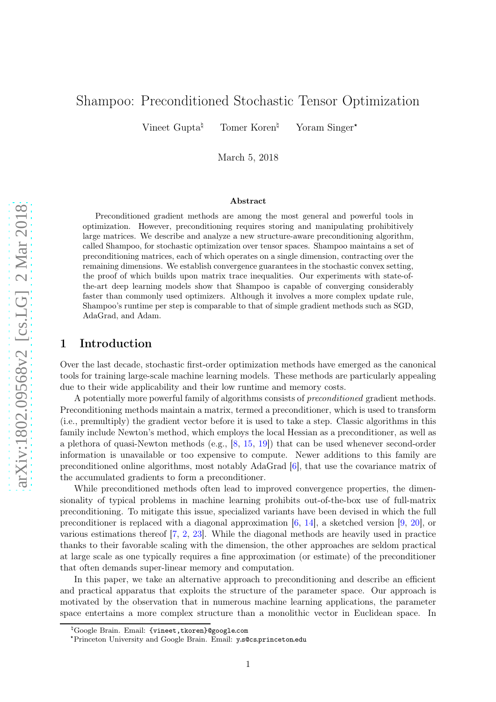# Shampoo: Preconditioned Stochastic Tensor Optimization

Vineet Gupta<sup> $\sharp$ </sup> Tomer Koren<sup>¤</sup> <sup>4</sup> Yoram Singer\*

March 5, 2018

#### Abstract

Preconditioned gradient methods are among the most general and powerful tools in optimization. However, preconditioning requires storing and manipulating prohibitively large matrices. We describe and analyze a new structure-aware preconditioning algorithm, called Shampoo, for stochastic optimization over tensor spaces. Shampoo maintains a set of preconditioning matrices, each of which operates on a single dimension, contracting over the remaining dimensions. We establish convergence guarantees in the stochastic convex setting, the proof of which builds upon matrix trace inequalities. Our experiments with state-ofthe-art deep learning models show that Shampoo is capable of converging considerably faster than commonly used optimizers. Although it involves a more complex update rule, Shampoo's runtime per step is comparable to that of simple gradient methods such as SGD, AdaGrad, and Adam.

### 1 Introduction

Over the last decade, stochastic first-order optimization methods have emerged as the canonical tools for training large-scale machine learning models. These methods are particularly appealing due to their wide applicability and their low runtime and memory costs.

A potentially more powerful family of algorithms consists o f *preconditioned* gradient methods. Preconditioning methods maintain a matrix, termed a preconditioner, which is used to transform (i.e., premultiply) the gradient vector before it is used to take a step. Classic algorithms in this family include Newton's method, which employs the local Hessian as a preconditioner, as well as a plethora of quasi-Newton methods (e.g., [[8](#page-14-0), [15](#page-14-1), [19\]](#page-15-0)) that can be used whenever second-order information is unavailable or too expensive to compute. Newer additions to this family are preconditioned online algorithms, most notably AdaGrad [[6](#page-14-2)], that use the covariance matrix of the accumulated gradients to form a preconditioner.

While preconditioned methods often lead to improved convergence properties, the dimensionality of typical problems in machine learning prohibits out-of-the-box use of full-matrix preconditioning. To mitigate this issue, specialized variants have been devised in which the full preconditioner is replaced with a diagonal approximation [[6](#page-14-2), [14](#page-14-3)], a sketched version [[9](#page-14-4), [20](#page-15-1)], or various estimations thereof [[7](#page-14-5), [2](#page-14-6), [23](#page-15-2)]. While the diagonal methods are heavily used in practice thanks to their favorable scaling with the dimension, the other approaches are seldom practical at large scale as one typically requires a fine approximation (or estimate) of the preconditioner that often demands super-linear memory and computation.

In this paper, we take an alternative approach to preconditioning and describe an efficient and practical apparatus that exploits the structure of the parameter space. Our approach is motivated by the observation that in numerous machine learning applications, the parameter space entertains a more complex structure than a monolithic vector in Euclidean space. In

<sup>6</sup>Google Brain. Email: {vineet,tkoren}@google.com

<sup>‹</sup>Princeton University and Google Brain. Email: y.s@cs.princeton.edu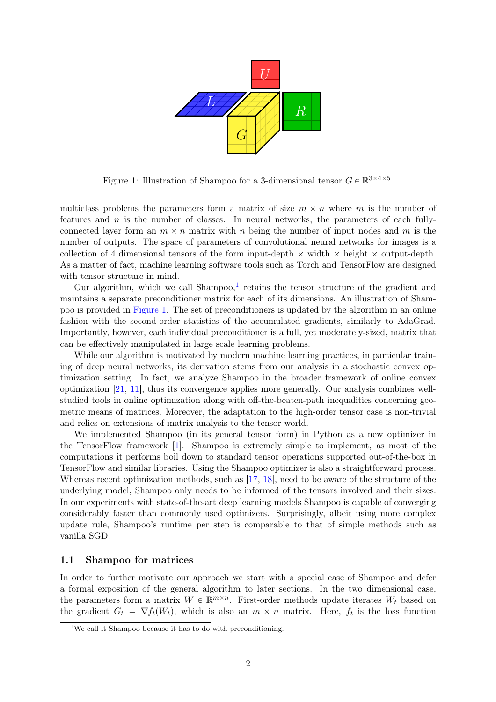

<span id="page-1-1"></span>Figure 1: Illustration of Shampoo for a 3-dimensional tensor  $G \in \mathbb{R}^{3 \times 4 \times 5}$ .

multiclass problems the parameters form a matrix of size  $m \times n$  where m is the number of features and  $n$  is the number of classes. In neural networks, the parameters of each fullyconnected layer form an  $m \times n$  matrix with n being the number of input nodes and m is the number of outputs. The space of parameters of convolutional neural networks for images is a collection of 4 dimensional tensors of the form input-depth  $\times$  width  $\times$  height  $\times$  output-depth. As a matter of fact, machine learning software tools such as Torch and TensorFlow are designed with tensor structure in mind.

Our algorithm, which we call Shampoo,<sup>[1](#page-1-0)</sup> retains the tensor structure of the gradient and maintains a separate preconditioner matrix for each of its dimensions. An illustration of Shampoo is provided in [Figure 1.](#page-1-1) The set of preconditioners is updated by the algorithm in an online fashion with the second-order statistics of the accumulated gradients, similarly to AdaGrad. Importantly, however, each individual preconditioner is a full, yet moderately-sized, matrix that can be effectively manipulated in large scale learning problems.

While our algorithm is motivated by modern machine learning practices, in particular training of deep neural networks, its derivation stems from our analysis in a stochastic convex optimization setting. In fact, we analyze Shampoo in the broader framework of online convex optimization [\[21](#page-15-3), [11](#page-14-7)], thus its convergence applies more generally. Our analysis combines wellstudied tools in online optimization along with off-the-beaten-path inequalities concerning geometric means of matrices. Moreover, the adaptation to the high-order tensor case is non-trivial and relies on extensions of matrix analysis to the tensor world.

We implemented Shampoo (in its general tensor form) in Python as a new optimizer in the TensorFlow framework [\[1](#page-14-8)]. Shampoo is extremely simple to implement, as most of the computations it performs boil down to standard tensor operations supported out-of-the-box in TensorFlow and similar libraries. Using the Shampoo optimizer is also a straightforward process. Whereas recent optimization methods, such as [\[17](#page-15-4), [18](#page-15-5)], need to be aware of the structure of the underlying model, Shampoo only needs to be informed of the tensors involved and their sizes. In our experiments with state-of-the-art deep learning models Shampoo is capable of converging considerably faster than commonly used optimizers. Surprisingly, albeit using more complex update rule, Shampoo's runtime per step is comparable to that of simple methods such as vanilla SGD.

#### 1.1 Shampoo for matrices

In order to further motivate our approach we start with a special case of Shampoo and defer a formal exposition of the general algorithm to later sections. In the two dimensional case, the parameters form a matrix  $W \in \mathbb{R}^{m \times n}$ . First-order methods update iterates  $W_t$  based on the gradient  $G_t = \nabla f_t(W_t)$ , which is also an  $m \times n$  matrix. Here,  $f_t$  is the loss function

<span id="page-1-0"></span><sup>&</sup>lt;sup>1</sup>We call it Shampoo because it has to do with preconditioning.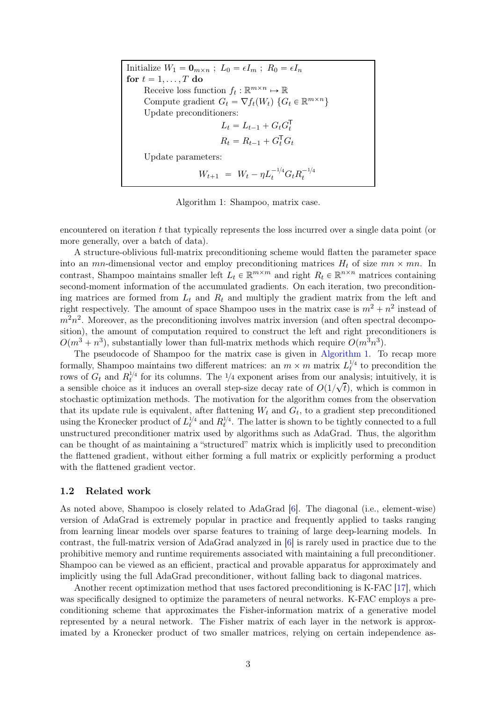Initialize  $W_1 = \mathbf{0}_{m \times n}$ ;  $L_0 = \epsilon I_m$ ;  $R_0 = \epsilon I_n$ for  $t = 1, \ldots, T$  do Receive loss function  $f_t : \mathbb{R}^{m \times n} \mapsto \mathbb{R}$ Compute gradient  $G_t = \nabla f_t(W_t) \{ G_t \in \mathbb{R}^{m \times n} \}$ Update preconditioners:  $L_t = L_{t-1} + G_t G_t^{\mathsf{T}}$ t  $R_t = R_{t-1} + G_t^{\mathsf{T}} G_t$ Update parameters:  $W_{t+1} = W_t - \eta L_t^{-1/4} G_t R_t^{-1/4}$ t

Algorithm 1: Shampoo, matrix case.

<span id="page-2-0"></span>encountered on iteration t that typically represents the loss incurred over a single data point (or more generally, over a batch of data).

A structure-oblivious full-matrix preconditioning scheme would flatten the parameter space into an mn-dimensional vector and employ preconditioning matrices  $H_t$  of size  $mn \times mn$ . In contrast, Shampoo maintains smaller left  $L_t \in \mathbb{R}^{m \times m}$  and right  $R_t \in \mathbb{R}^{n \times n}$  matrices containing second-moment information of the accumulated gradients. On each iteration, two preconditioning matrices are formed from  $L_t$  and  $R_t$  and multiply the gradient matrix from the left and right respectively. The amount of space Shampoo uses in the matrix case is  $m^2 + n^2$  instead of  $m^2n^2$ . Moreover, as the preconditioning involves matrix inversion (and often spectral decomposition), the amount of computation required to construct the left and right preconditioners is  $O(m^3 + n^3)$ , substantially lower than full-matrix methods which require  $O(m^3n^3)$ .

The pseudocode of Shampoo for the matrix case is given in [Algorithm 1.](#page-2-0) To recap more formally, Shampoo maintains two different matrices: an  $m \times m$  matrix  $L_t^{1/4}$  to precondition the rows of  $G_t$  and  $R_t^{1/4}$  for its columns. The  $1/4$  exponent arises from our analysis; intuitively, it is a sensible choice as it induces an overall step-size decay rate of  $O(1/\sqrt{t})$ , which is common in stochastic optimization methods. The motivation for the algorithm comes from the observation that its update rule is equivalent, after flattening  $W_t$  and  $G_t$ , to a gradient step preconditioned using the Kronecker product of  $L_t^{1/4}$  and  $R_t^{1/4}$ . The latter is shown to be tightly connected to a full unstructured preconditioner matrix used by algorithms such as AdaGrad. Thus, the algorithm can be thought of as maintaining a "structured" matrix which is implicitly used to precondition the flattened gradient, without either forming a full matrix or explicitly performing a product with the flattened gradient vector.

### 1.2 Related work

As noted above, Shampoo is closely related to AdaGrad [\[6\]](#page-14-2). The diagonal (i.e., element-wise) version of AdaGrad is extremely popular in practice and frequently applied to tasks ranging from learning linear models over sparse features to training of large deep-learning models. In contrast, the full-matrix version of AdaGrad analyzed in [\[6\]](#page-14-2) is rarely used in practice due to the prohibitive memory and runtime requirements associated with maintaining a full preconditioner. Shampoo can be viewed as an efficient, practical and provable apparatus for approximately and implicitly using the full AdaGrad preconditioner, without falling back to diagonal matrices.

Another recent optimization method that uses factored preconditioning is K-FAC [\[17\]](#page-15-4), which was specifically designed to optimize the parameters of neural networks. K-FAC employs a preconditioning scheme that approximates the Fisher-information matrix of a generative model represented by a neural network. The Fisher matrix of each layer in the network is approximated by a Kronecker product of two smaller matrices, relying on certain independence as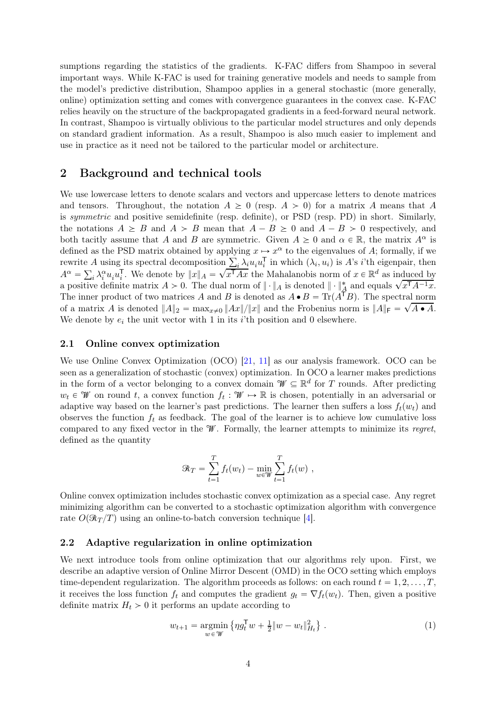sumptions regarding the statistics of the gradients. K-FAC differs from Shampoo in several important ways. While K-FAC is used for training generative models and needs to sample from the model's predictive distribution, Shampoo applies in a general stochastic (more generally, online) optimization setting and comes with convergence guarantees in the convex case. K-FAC relies heavily on the structure of the backpropagated gradients in a feed-forward neural network. In contrast, Shampoo is virtually oblivious to the particular model structures and only depends on standard gradient information. As a result, Shampoo is also much easier to implement and use in practice as it need not be tailored to the particular model or architecture.

# 2 Background and technical tools

We use lowercase letters to denote scalars and vectors and uppercase letters to denote matrices and tensors. Throughout, the notation  $A \geq 0$  (resp.  $A > 0$ ) for a matrix A means that A is *symmetric* and positive semidefinite (resp. definite), or PSD (resp. PD) in short. Similarly, the notations  $A \geq B$  and  $A > B$  mean that  $A - B \geq 0$  and  $A - B > 0$  respectively, and both tacitly assume that A and B are symmetric. Given  $A \geq 0$  and  $\alpha \in \mathbb{R}$ , the matrix  $A^{\alpha}$  is defined as the PSD matrix obtained by applying  $x \mapsto x^{\alpha}$  to the eigenvalues of A; formally, if we rewrite A using its spectral decomposition  $\sum_i \lambda_i u_i u_i^{\mathsf{T}}$  $\frac{1}{i}$  in which  $(\lambda_i, u_i)$  is A's i'th eigenpair, then  $A^{\alpha} = \sum_{i} \lambda_i^{\alpha} u_i u_i^{\mathsf{T}}$  $\overline{x}_i^T$ . We denote by  $||x||_A = \sqrt{x^T A x}$  the Mahalanobis norm of  $x \in \mathbb{R}^d$  as induced by a positive definite matrix  $A > 0$ . The dual norm of  $\|\cdot\|_A$  is denoted  $\|\cdot\|_A^*$  and equals  $\sqrt{x^T A^{-1} x}$ . The inner product of two matrices A and B is denoted as  $A \bullet B = \text{Tr}(A^T B)$ . The spectral norm of a matrix A is denoted  $||A||_2 = \max_{x\neq 0}||Ax||/||x||$  and the Frobenius norm is  $||A||_F = \sqrt{A \cdot A}$ . We denote by  $e_i$  the unit vector with 1 in its *i*'th position and 0 elsewhere.

### 2.1 Online convex optimization

We use Online Convex Optimization (OCO) [\[21](#page-15-3), [11](#page-14-7)] as our analysis framework. OCO can be seen as a generalization of stochastic (convex) optimization. In OCO a learner makes predictions in the form of a vector belonging to a convex domain  $\mathcal{W} \subseteq \mathbb{R}^d$  for T rounds. After predicting  $w_t \in \mathcal{W}$  on round t, a convex function  $f_t : \mathcal{W} \to \mathbb{R}$  is chosen, potentially in an adversarial or adaptive way based on the learner's past predictions. The learner then suffers a loss  $f_t(w_t)$  and observes the function  $f_t$  as feedback. The goal of the learner is to achieve low cumulative loss compared to any fixed vector in the <sup>W</sup>. Formally, the learner attempts to minimize its *regret*, defined as the quantity

$$
\mathcal{R}_T = \sum_{t=1}^T f_t(w_t) - \min_{w \in \mathcal{W}} \sum_{t=1}^T f_t(w) ,
$$

Online convex optimization includes stochastic convex optimization as a special case. Any regret minimizing algorithm can be converted to a stochastic optimization algorithm with convergence rate  $O(\Re(\frac{T}{T})$  using an online-to-batch conversion technique [\[4](#page-14-9)].

### 2.2 Adaptive regularization in online optimization

We next introduce tools from online optimization that our algorithms rely upon. First, we describe an adaptive version of Online Mirror Descent (OMD) in the OCO setting which employs time-dependent regularization. The algorithm proceeds as follows: on each round  $t = 1, 2, \ldots, T$ , it receives the loss function  $f_t$  and computes the gradient  $g_t = \nabla f_t(w_t)$ . Then, given a positive definite matrix  $H_t > 0$  it performs an update according to

<span id="page-3-0"></span>
$$
w_{t+1} = \underset{w \in \mathcal{W}}{\text{argmin}} \left\{ \eta g_t^{\mathsf{T}} w + \frac{1}{2} \|w - w_t\|_{H_t}^2 \right\} \,. \tag{1}
$$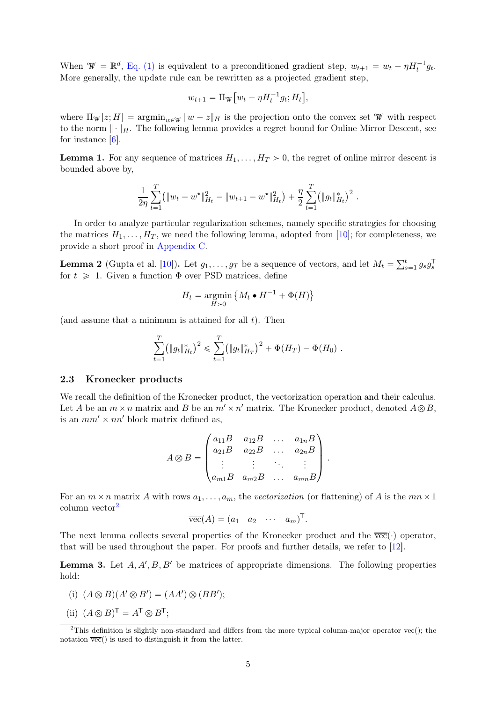When  $\mathcal{W} = \mathbb{R}^d$ , [Eq. \(1\)](#page-3-0) is equivalent to a preconditioned gradient step,  $w_{t+1} = w_t - \eta H_t^{-1} g_t$ . More generally, the update rule can be rewritten as a projected gradient step,

$$
w_{t+1} = \Pi_{\mathcal{W}} \left[ w_t - \eta H_t^{-1} g_t; H_t \right],
$$

where  $\Pi_{\mathscr{W}}[z;H] = \operatorname{argmin}_{w \in \mathscr{W}} \|w - z\|_H$  is the projection onto the convex set W with respect to the norm  $\|\cdot\|_H$ . The following lemma provides a regret bound for Online Mirror Descent, see for instance [\[6](#page-14-2)].

<span id="page-4-3"></span>**Lemma 1.** For any sequence of matrices  $H_1, \ldots, H_T > 0$ , the regret of online mirror descent is bounded above by,

$$
\frac{1}{2\eta}\sum_{t=1}^T (\|w_t - w^\star\|_{H_t}^2 - \|w_{t+1} - w^\star\|_{H_t}^2) + \frac{\eta}{2}\sum_{t=1}^T (\|g_t\|_{H_t}^*)^2.
$$

In order to analyze particular regularization schemes, namely specific strategies for choosing the matrices  $H_1, \ldots, H_T$ , we need the following lemma, adopted from [\[10](#page-14-10)]; for completeness, we provide a short proof in [Appendix C.](#page-20-0)

<span id="page-4-4"></span>**Lemma 2** (Gupta et al. [\[10\]](#page-14-10)). Let  $g_1, \ldots, g_T$  be a sequence of vectors, and let  $M_t = \sum_{s=1}^t g_s g_s^T$ s for  $t \geq 1$ . Given a function  $\Phi$  over PSD matrices, define

$$
H_t = \operatornamewithlimits{argmin}_{H>0} \big\{ M_t \bullet H^{-1} + \Phi(H) \big\}
$$

(and assume that a minimum is attained for all  $t$ ). Then

$$
\sum_{t=1}^T (\|g_t\|_{H_t}^*)^2 \leq \sum_{t=1}^T (\|g_t\|_{H_T}^*)^2 + \Phi(H_T) - \Phi(H_0) .
$$

### 2.3 Kronecker products

We recall the definition of the Kronecker product, the vectorization operation and their calculus. Let A be an  $m \times n$  matrix and B be an  $m' \times n'$  matrix. The Kronecker product, denoted  $A \otimes B$ , is an  $mm' \times nn'$  block matrix defined as,

$$
A \otimes B = \begin{pmatrix} a_{11}B & a_{12}B & \dots & a_{1n}B \\ a_{21}B & a_{22}B & \dots & a_{2n}B \\ \vdots & \vdots & \ddots & \vdots \\ a_{m1}B & a_{m2}B & \dots & a_{mn}B \end{pmatrix}.
$$

For an  $m \times n$  matrix A with rows  $a_1, \ldots, a_m$ , the *vectorization* (or flattening) of A is the  $mn \times 1$ column vector[2](#page-4-0)

$$
\overline{\text{vec}}(A) = (a_1 \quad a_2 \quad \cdots \quad a_m)^{\mathsf{T}}.
$$

<span id="page-4-1"></span>The next lemma collects several properties of the Kronecker product and the  $\overline{vec}(\cdot)$  operator, that will be used throughout the paper. For proofs and further details, we refer to [\[12\]](#page-14-11).

<span id="page-4-2"></span>**Lemma 3.** Let  $A, A', B, B'$  be matrices of appropriate dimensions. The following properties hold:

- (i)  $(A \otimes B)(A' \otimes B') = (AA') \otimes (BB')$ ;
- (ii)  $(A \otimes B)^{\mathsf{T}} = A^{\mathsf{T}} \otimes B^{\mathsf{T}};$

<span id="page-4-0"></span><sup>&</sup>lt;sup>2</sup>This definition is slightly non-standard and differs from the more typical column-major operator vec $()$ ; the notation  $\overline{vec}$ ) is used to distinguish it from the latter.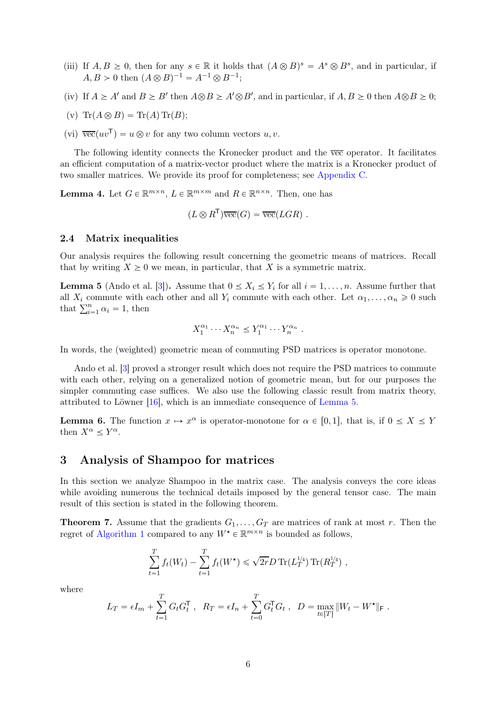- <span id="page-5-1"></span>(iii) If  $A, B \geq 0$ , then for any  $s \in \mathbb{R}$  it holds that  $(A \otimes B)^s = A^s \otimes B^s$ , and in particular, if  $A, B > 0$  then  $(A \otimes B)^{-1} = A^{-1} \otimes B^{-1};$
- <span id="page-5-4"></span>(iv) If  $A \geq A'$  and  $B \geq B'$  then  $A \otimes B \geq A' \otimes B'$ , and in particular, if  $A, B \geq 0$  then  $A \otimes B \geq 0$ ;
- <span id="page-5-6"></span>(v)  $\text{Tr}(A \otimes B) = \text{Tr}(A) \text{Tr}(B);$
- (vi)  $\overline{\text{vec}}(uv^{\mathsf{T}}) = u \otimes v$  for any two column vectors  $u, v$ .

The following identity connects the Kronecker product and the vec operator. It facilitates an efficient computation of a matrix-vector product where the matrix is a Kronecker product of two smaller matrices. We provide its proof for completeness; see [Appendix C.](#page-20-0)

<span id="page-5-3"></span>**Lemma 4.** Let  $G \in \mathbb{R}^{m \times n}$ ,  $L \in \mathbb{R}^{m \times m}$  and  $R \in \mathbb{R}^{n \times n}$ . Then, one has

$$
(L \otimes R^{\mathsf{T}}) \overline{\text{vec}}(G) = \overline{\text{vec}}(LGR) .
$$

### 2.4 Matrix inequalities

<span id="page-5-0"></span>Our analysis requires the following result concerning the geometric means of matrices. Recall that by writing  $X \geq 0$  we mean, in particular, that X is a symmetric matrix.

**Lemma 5** (Ando et al. [\[3\]](#page-14-12)). Assume that  $0 \le X_i \le Y_i$  for all  $i = 1, \ldots, n$ . Assume further that all  $X_i$  commute with each other and all  $Y_i$  commute with each other. Let  $\alpha_1, \ldots, \alpha_n \geq 0$  such that  $\sum_{i=1}^{n} \alpha_i = 1$ , then

$$
X_1^{\alpha_1} \cdots X_n^{\alpha_n} \le Y_1^{\alpha_1} \cdots Y_n^{\alpha_n} .
$$

In words, the (weighted) geometric mean of commuting PSD matrices is operator monotone.

Ando et al. [\[3\]](#page-14-12) proved a stronger result which does not require the PSD matrices to commute with each other, relying on a generalized notion of geometric mean, but for our purposes the simpler commuting case suffices. We also use the following classic result from matrix theory, attributed to Löwner [\[16\]](#page-15-6), which is an immediate consequence of [Lemma 5.](#page-5-0)

<span id="page-5-5"></span>**Lemma 6.** The function  $x \mapsto x^{\alpha}$  is operator-monotone for  $\alpha \in [0, 1]$ , that is, if  $0 \le X \le Y$ then  $X^{\alpha} \leq Y^{\alpha}$ .

### 3 Analysis of Shampoo for matrices

In this section we analyze Shampoo in the matrix case. The analysis conveys the core ideas while avoiding numerous the technical details imposed by the general tensor case. The main result of this section is stated in the following theorem.

<span id="page-5-2"></span>**Theorem 7.** Assume that the gradients  $G_1, \ldots, G_T$  are matrices of rank at most r. Then the regret of [Algorithm 1](#page-2-0) compared to any  $W^{\star} \in \mathbb{R}^{m \times n}$  is bounded as follows,

$$
\sum_{t=1}^{T} f_t(W_t) - \sum_{t=1}^{T} f_t(W^{\star}) \leq \sqrt{2r} D \operatorname{Tr}(L_T^{1/4}) \operatorname{Tr}(R_T^{1/4}),
$$

where

$$
L_T = \epsilon I_m + \sum_{t=1}^T G_t G_t^{\mathsf{T}} , \quad R_T = \epsilon I_n + \sum_{t=0}^T G_t^{\mathsf{T}} G_t , \quad D = \max_{t \in [T]} \|W_t - W^{\star}\|_{\mathsf{F}} .
$$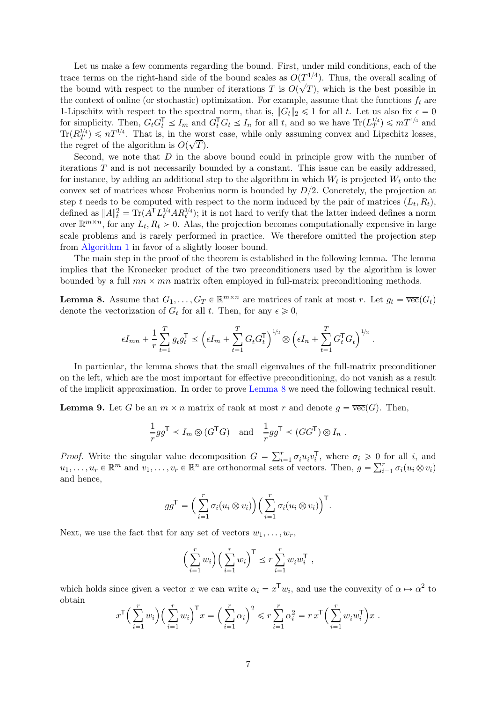Let us make a few comments regarding the bound. First, under mild conditions, each of the trace terms on the right-hand side of the bound scales as  $O(T^{1/4})$ . Thus, the overall scaling of the bound with respect to the number of iterations T is  $O(\sqrt{T})$ , which is the best possible in the context of online (or stochastic) optimization. For example, assume that the functions  $f_t$  are 1-Lipschitz with respect to the spectral norm, that is,  $||G_t||_2 \le 1$  for all t. Let us also fix  $\epsilon = 0$ for simplicity. Then,  $G_t G_t^{\mathsf{T}} \leq I_m$  and  $G_t^{\mathsf{T}} G_t \leq I_n$  for all t, and so we have  $\text{Tr}(L_T^{1/4}) \leq mT^{1/4}$  and  $\text{Tr}(R_T^{1/4}) \leq nT^{1/4}$ . That is, in the worst case, while only assuming convex and Lipschitz losses, the regret of the algorithm is  $O(\sqrt{T})$ .

Second, we note that  $D$  in the above bound could in principle grow with the number of iterations  $T$  and is not necessarily bounded by a constant. This issue can be easily addressed, for instance, by adding an additional step to the algorithm in which  $W_t$  is projected  $W_t$  onto the convex set of matrices whose Frobenius norm is bounded by  $D/2$ . Concretely, the projection at step t needs to be computed with respect to the norm induced by the pair of matrices  $(L_t, R_t)$ , defined as  $||A||_t^2 = \text{Tr}(\tilde{A}^T L_t^{1/4} A R_t^{1/4});$  it is not hard to verify that the latter indeed defines a norm over  $\mathbb{R}^{m \times n}$ , for any  $L_t, R_t > 0$ . Alas, the projection becomes computationally expensive in large scale problems and is rarely performed in practice. We therefore omitted the projection step from [Algorithm 1](#page-2-0) in favor of a slightly looser bound.

The main step in the proof of the theorem is established in the following lemma. The lemma implies that the Kronecker product of the two preconditioners used by the algorithm is lower bounded by a full  $mn \times mn$  matrix often employed in full-matrix preconditioning methods.

<span id="page-6-0"></span>**Lemma 8.** Assume that  $G_1, \ldots, G_T \in \mathbb{R}^{m \times n}$  are matrices of rank at most r. Let  $g_t = \overline{\text{vec}}(G_t)$ denote the vectorization of  $G_t$  for all t. Then, for any  $\epsilon \geq 0$ ,

$$
\epsilon I_{mn} + \frac{1}{r} \sum_{t=1}^T g_t g_t^{\mathsf{T}} \leq \left( \epsilon I_m + \sum_{t=1}^T G_t G_t^{\mathsf{T}} \right)^{1/2} \otimes \left( \epsilon I_n + \sum_{t=1}^T G_t^{\mathsf{T}} G_t \right)^{1/2}.
$$

In particular, the lemma shows that the small eigenvalues of the full-matrix preconditioner on the left, which are the most important for effective preconditioning, do not vanish as a result of the implicit approximation. In order to prove [Lemma 8](#page-6-0) we need the following technical result.

<span id="page-6-1"></span>**Lemma 9.** Let G be an  $m \times n$  matrix of rank at most r and denote  $q = \overline{vec}(G)$ . Then,

$$
\frac{1}{r}gg^{\mathsf{T}} \le I_m \otimes (G^{\mathsf{T}}G) \quad \text{and} \quad \frac{1}{r}gg^{\mathsf{T}} \le (GG^{\mathsf{T}}) \otimes I_n .
$$

*Proof.* Write the singular value decomposition  $G = \sum_{i=1}^{r} \sigma_i u_i v_i^T$ <sup>1</sup>, where  $\sigma_i \geq 0$  for all *i*, and  $u_1, \ldots, u_r \in \mathbb{R}^m$  and  $v_1, \ldots, v_r \in \mathbb{R}^n$  are orthonormal sets of vectors. Then,  $g = \sum_{i=1}^r \sigma_i(u_i \otimes v_i)$ and hence,

$$
gg^{\mathsf{T}} = \left(\sum_{i=1}^r \sigma_i(u_i \otimes v_i)\right) \left(\sum_{i=1}^r \sigma_i(u_i \otimes v_i)\right)^{\mathsf{T}}.
$$

Next, we use the fact that for any set of vectors  $w_1, \ldots, w_r$ ,

$$
\left(\sum_{i=1}^r w_i\right) \left(\sum_{i=1}^r w_i\right)^{\mathsf{T}} \leq r \sum_{i=1}^r w_i w_i^{\mathsf{T}},
$$

which holds since given a vector x we can write  $\alpha_i = x^T w_i$ , and use the convexity of  $\alpha \mapsto \alpha^2$  to obtain

$$
x^{\mathsf{T}}\Big(\sum_{i=1}^r w_i\Big) \Big(\sum_{i=1}^r w_i\Big)^{\mathsf{T}} x = \Big(\sum_{i=1}^r \alpha_i\Big)^2 \leqslant r \sum_{i=1}^r \alpha_i^2 = r x^{\mathsf{T}} \Big(\sum_{i=1}^r w_i w_i^{\mathsf{T}}\Big) x.
$$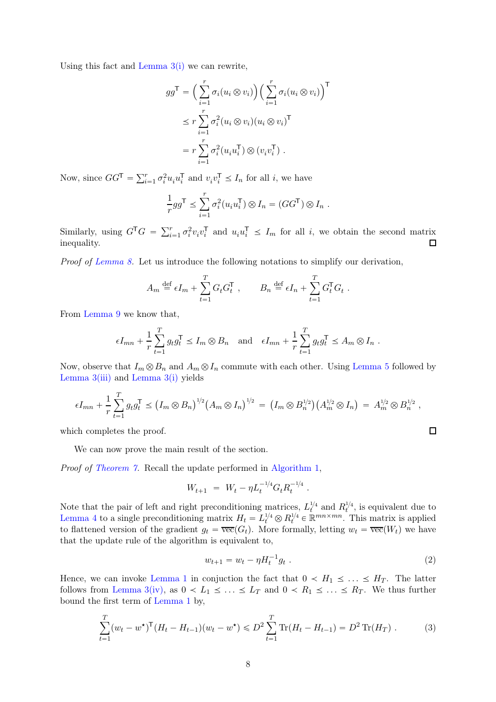Using this fact and [Lemma 3](#page-4-1)[\(i\)](#page-4-2) we can rewrite,

$$
gg^{\mathsf{T}} = \left(\sum_{i=1}^{r} \sigma_i (u_i \otimes v_i)\right) \left(\sum_{i=1}^{r} \sigma_i (u_i \otimes v_i)\right)^{\mathsf{T}}
$$
  

$$
\leq r \sum_{i=1}^{r} \sigma_i^2 (u_i \otimes v_i) (u_i \otimes v_i)^{\mathsf{T}}
$$
  

$$
= r \sum_{i=1}^{r} \sigma_i^2 (u_i u_i^{\mathsf{T}}) \otimes (v_i v_i^{\mathsf{T}}).
$$

Now, since  $GG^{\mathsf{T}} = \sum_{i=1}^{r} \sigma_i^2 u_i u_i^{\mathsf{T}}$  $\overline{v}_i^{\mathsf{T}}$  and  $v_i v_i^{\mathsf{T}} \leq I_n$  for all *i*, we have

$$
\frac{1}{r}gg^{\mathsf{T}} \leq \sum_{i=1}^r \sigma_i^2(u_iu_i^{\mathsf{T}}) \otimes I_n = (GG^{\mathsf{T}}) \otimes I_n .
$$

Similarly, using  $G^{\mathsf{T}}G = \sum_{i=1}^r \sigma_i^2$  $i^2v_iv_i^{\mathsf{T}}$  $\overline{u}_i^{\mathsf{T}}$  and  $u_i u_i^{\mathsf{T}} \leq I_m$  for all *i*, we obtain the second matrix inequality.  $\Box$ 

*Proof of [Lemma 8.](#page-6-0)* Let us introduce the following notations to simplify our derivation,

$$
A_m \stackrel{\text{def}}{=} \epsilon I_m + \sum_{t=1}^T G_t G_t^{\mathsf{T}} \,, \qquad B_n \stackrel{\text{def}}{=} \epsilon I_n + \sum_{t=1}^T G_t^{\mathsf{T}} G_t \,.
$$

From [Lemma 9](#page-6-1) we know that,

$$
\epsilon I_{mn} + \frac{1}{r} \sum_{t=1}^T g_t g_t^{\mathsf{T}} \le I_m \otimes B_n \quad \text{and} \quad \epsilon I_{mn} + \frac{1}{r} \sum_{t=1}^T g_t g_t^{\mathsf{T}} \le A_m \otimes I_n .
$$

Now, observe that  $I_m \otimes B_n$  and  $A_m \otimes I_n$  commute with each other. Using [Lemma 5](#page-5-0) followed by Lemma  $3(iii)$  $3(iii)$  and Lemma  $3(i)$  $3(i)$  yields

$$
\epsilon I_{mn} + \frac{1}{r} \sum_{t=1}^T g_t g_t^{\mathsf{T}} \le (I_m \otimes B_n)^{1/2} (A_m \otimes I_n)^{1/2} = (I_m \otimes B_n^{1/2}) (A_m^{1/2} \otimes I_n) = A_m^{1/2} \otimes B_n^{1/2} ,
$$

which completes the proof.

We can now prove the main result of the section.

*Proof of [Theorem 7.](#page-5-2)* Recall the update performed in [Algorithm 1,](#page-2-0)

$$
W_{t+1} \ = \ W_t - \eta L_t^{-1/4} G_t R_t^{-1/4} \ .
$$

Note that the pair of left and right preconditioning matrices,  $L_t^{1/4}$  and  $R_t^{1/4}$ , is equivalent due to [Lemma 4](#page-5-3) to a single preconditioning matrix  $H_t = L_t^{1/4} \otimes R_t^{1/4} \in \mathbb{R}^{mn \times mn}$ . This matrix is applied to flattened version of the gradient  $g_t = \overline{\text{vec}}(G_t)$ . More formally, letting  $w_t = \overline{\text{vec}}(W_t)$  we have that the update rule of the algorithm is equivalent to,

$$
w_{t+1} = w_t - \eta H_t^{-1} g_t \tag{2}
$$

Hence, we can invoke [Lemma 1](#page-4-3) in conjuction the fact that  $0 < H_1 \leq \ldots \leq H_T$ . The latter follows from [Lemma 3](#page-4-1)[\(iv\),](#page-5-4) as  $0 < L_1 \leq \ldots \leq L_T$  and  $0 < R_1 \leq \ldots \leq R_T$ . We thus further bound the first term of [Lemma 1](#page-4-3) by,

$$
\sum_{t=1}^{T} (w_t - w^*)^{\mathsf{T}} (H_t - H_{t-1})(w_t - w^*) \leq D^2 \sum_{t=1}^{T} \text{Tr}(H_t - H_{t-1}) = D^2 \text{Tr}(H_T) . \tag{3}
$$

<span id="page-7-0"></span> $\Box$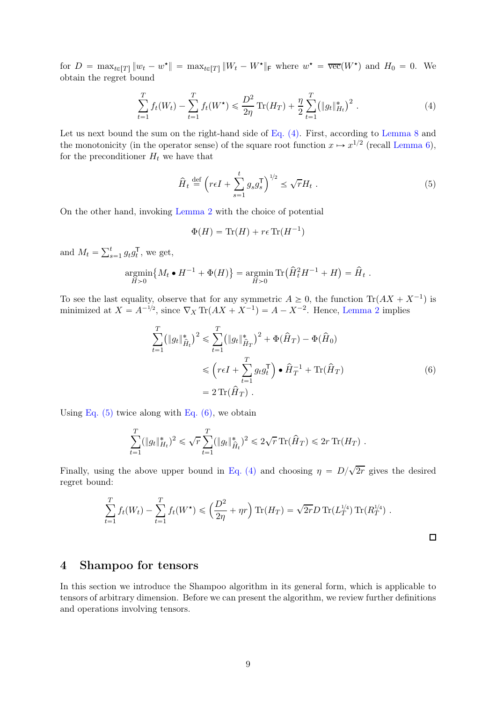for  $D = \max_{t \in [T]} ||w_t - w^*|| = \max_{t \in [T]} ||W_t - W^*||_F$  where  $w^* = \overline{\text{vec}}(W^*)$  and  $H_0 = 0$ . We obtain the regret bound

$$
\sum_{t=1}^{T} f_t(W_t) - \sum_{t=1}^{T} f_t(W^{\star}) \leq \frac{D^2}{2\eta} \operatorname{Tr}(H_T) + \frac{\eta}{2} \sum_{t=1}^{T} (\|g_t\|_{H_t}^{\ast})^2.
$$
 (4)

Let us next bound the sum on the right-hand side of [Eq. \(4\).](#page-8-0) First, according to [Lemma 8](#page-6-0) and the monotonicity (in the operator sense) of the square root function  $x \mapsto x^{1/2}$  (recall [Lemma 6\)](#page-5-5), for the preconditioner  $H_t$  we have that

<span id="page-8-0"></span>
$$
\hat{H}_t \stackrel{\text{def}}{=} \left( r\epsilon I + \sum_{s=1}^t g_s g_s^{\mathsf{T}} \right)^{1/2} \le \sqrt{r} H_t \ . \tag{5}
$$

On the other hand, invoking [Lemma 2](#page-4-4) with the choice of potential

<span id="page-8-1"></span>
$$
\Phi(H) = \text{Tr}(H) + r\epsilon \text{Tr}(H^{-1})
$$

and  $M_t = \sum_{s=1}^t g_t g_t^{\mathsf{T}}$  $_t^{\mathsf{I}}$ , we get,

$$
\underset{H>0}{\text{argmin}} \{ M_t \bullet H^{-1} + \Phi(H) \} = \underset{H>0}{\text{argmin}} \operatorname{Tr} \left( \widehat{H}_t^2 H^{-1} + H \right) = \widehat{H}_t.
$$

To see the last equality, observe that for any symmetric  $A \geq 0$ , the function  $\text{Tr}(AX + X^{-1})$  is minimized at  $X = A^{-1/2}$ , since  $\nabla_X \text{Tr}(AX + X^{-1}) = A - X^{-2}$ . Hence, [Lemma 2](#page-4-4) implies

$$
\sum_{t=1}^{T} (||g_t||_{\hat{H}_t}^*)^2 \le \sum_{t=1}^{T} (||g_t||_{\hat{H}_T}^*)^2 + \Phi(\hat{H}_T) - \Phi(\hat{H}_0)
$$
  

$$
\le (r\epsilon I + \sum_{t=1}^{T} g_t g_t^{\mathsf{T}}) \bullet \hat{H}_T^{-1} + \text{Tr}(\hat{H}_T)
$$
  

$$
= 2 \text{Tr}(\hat{H}_T).
$$
 (6)

Using Eq.  $(5)$  twice along with Eq.  $(6)$ , we obtain

$$
\sum_{t=1}^T (\|g_t\|_{H_t}^*)^2 \leq \sqrt{r} \sum_{t=1}^T (\|g_t\|_{\hat{H}_t}^*)^2 \leq 2\sqrt{r} \operatorname{Tr}(\hat{H}_T) \leq 2r \operatorname{Tr}(H_T).
$$

Finally, using the above upper bound in [Eq. \(4\)](#page-8-0) and choosing  $\eta = D/\sqrt{2r}$  gives the desired regret bound:

$$
\sum_{t=1}^T f_t(W_t) - \sum_{t=1}^T f_t(W^{\star}) \leq \left(\frac{D^2}{2\eta} + \eta r\right) \text{Tr}(H_T) = \sqrt{2r} D \text{Tr}(L_T^{1/4}) \text{Tr}(R_T^{1/4}).
$$

<span id="page-8-2"></span> $\Box$ 

# 4 Shampoo for tensors

In this section we introduce the Shampoo algorithm in its general form, which is applicable to tensors of arbitrary dimension. Before we can present the algorithm, we review further definitions and operations involving tensors.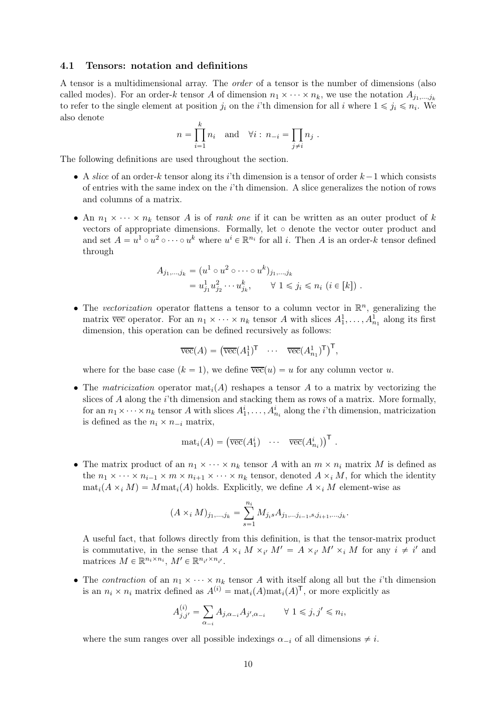### 4.1 Tensors: notation and definitions

A tensor is a multidimensional array. The *order* of a tensor is the number of dimensions (also called modes). For an order-k tensor A of dimension  $n_1 \times \cdots \times n_k$ , we use the notation  $A_{j_1,...,j_k}$ to refer to the single element at position  $j_i$  on the *i*'th dimension for all *i* where  $1 \leq j_i \leq n_i$ . We also denote

$$
n = \prod_{i=1}^{k} n_i \text{ and } \forall i : n_{-i} = \prod_{j \neq i} n_j .
$$

The following definitions are used throughout the section.

- A *slice* of an order-k tensor along its i'th dimension is a tensor of order  $k-1$  which consists of entries with the same index on the i'th dimension. A slice generalizes the notion of rows and columns of a matrix.
- An  $n_1 \times \cdots \times n_k$  tensor A is of *rank one* if it can be written as an outer product of k vectors of appropriate dimensions. Formally, let  $\circ$  denote the vector outer product and and set  $A = u^1 \circ u^2 \circ \cdots \circ u^k$  where  $u^i \in \mathbb{R}^{n_i}$  for all i. Then A is an order-k tensor defined through

$$
A_{j_1,\dots,j_k} = (u^1 \circ u^2 \circ \dots \circ u^k)_{j_1,\dots,j_k}
$$
  
=  $u_{j_1}^1 u_{j_2}^2 \dots u_{j_k}^k$ ,  $\forall 1 \leq j_i \leq n_i$   $(i \in [k])$ .

• The *vectorization* operator flattens a tensor to a column vector in  $\mathbb{R}^n$ , generalizing the matrix  $\overline{vec}$  operator. For an  $n_1 \times \cdots \times n_k$  tensor A with slices  $A_1^1, \ldots, A_{n_1}^1$  along its first dimension, this operation can be defined recursively as follows:

$$
\overline{\text{vec}}(A) = \left(\overline{\text{vec}}(A_1^1)^\mathsf{T} \quad \cdots \quad \overline{\text{vec}}(A_{n_1}^1)^\mathsf{T}\right)^\mathsf{T},
$$

where for the base case  $(k = 1)$ , we define  $\overline{vec}(u) = u$  for any column vector u.

• The *matricization* operator  $\text{mat}_i(A)$  reshapes a tensor A to a matrix by vectorizing the slices of A along the i'th dimension and stacking them as rows of a matrix. More formally, for an  $n_1 \times \cdots \times n_k$  tensor A with slices  $A_1^i, \ldots, A_{n_i}^i$  along the *i*'th dimension, matricization is defined as the  $n_i \times n_{-i}$  matrix,

$$
\mathrm{mat}_i(A) = \left( \overline{\mathrm{vec}}(A_1^i) \quad \cdots \quad \overline{\mathrm{vec}}(A_{n_i}^i) \right)^{\mathsf{T}}.
$$

• The matrix product of an  $n_1 \times \cdots \times n_k$  tensor A with an  $m \times n_i$  matrix M is defined as the  $n_1 \times \cdots \times n_{i-1} \times m \times n_{i+1} \times \cdots \times n_k$  tensor, denoted  $A \times_i M$ , for which the identity  $\text{mat}_i(A \times_i M) = M \text{mat}_i(A)$  holds. Explicitly, we define  $A \times_i M$  element-wise as

$$
(A \times_i M)_{j_1,\dots,j_k} = \sum_{s=1}^{n_i} M_{j_i s} A_{j_1,\dots,j_{i-1},s,j_{i+1},\dots,j_k}.
$$

A useful fact, that follows directly from this definition, is that the tensor-matrix product is commutative, in the sense that  $A \times_i M \times_{i'} M' = A \times_{i'} M' \times_i M$  for any  $i \neq i'$  and matrices  $M \in \mathbb{R}^{n_i \times n_i}$ ,  $M' \in \mathbb{R}^{n_{i'} \times n_{i'}}$ .

• The *contraction* of an  $n_1 \times \cdots \times n_k$  tensor A with itself along all but the *i*'th dimension is an  $n_i \times n_i$  matrix defined as  $A^{(i)} = \text{mat}_i(A)\text{mat}_i(A)^{\mathsf{T}}$ , or more explicitly as

$$
A_{j,j'}^{(i)} = \sum_{\alpha_{-i}} A_{j,\alpha_{-i}} A_{j',\alpha_{-i}} \qquad \forall \ 1 \leq j, j' \leq n_i,
$$

where the sum ranges over all possible indexings  $\alpha_{-i}$  of all dimensions  $\neq i$ .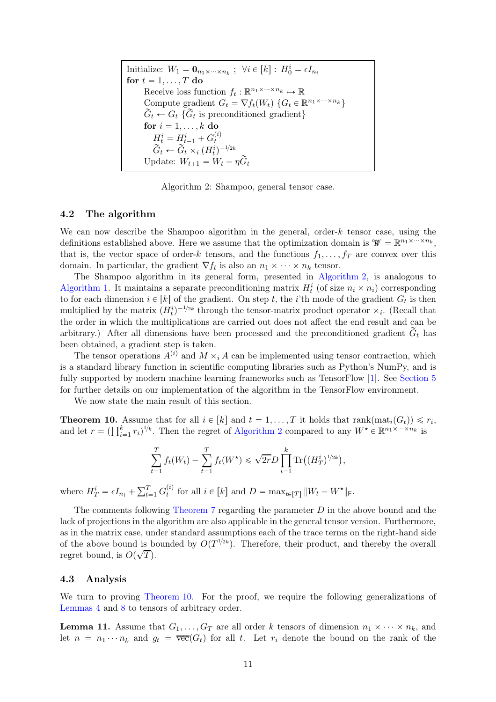Initialize:  $W_1 = \mathbf{0}_{n_1 \times \cdots \times n_k}$ ;  $\forall i \in [k] : H_0^i = \epsilon I_{n_i}$ for  $t = 1, \ldots, T$  do Receive loss function  $f_t: \mathbb{R}^{n_1 \times \cdots \times n_k} \mapsto \mathbb{R}$ Compute gradient  $G_t = \nabla f_t(W_t) \{ G_t \in \mathbb{R}^{n_1 \times \cdots \times n_k} \}$  $G_t \leftarrow G_t$  { $G_t$  is preconditioned gradient} for  $i = 1, \ldots, k$  do  $H_t^i = H_{t-1}^i + G_t^{(i)}$  $\widetilde{G}_t \leftarrow \widetilde{G}_t \times_i (H_t^i)^{-1/2k}$ Update:  $W_{t+1} = W_t - \eta \widetilde{G}_t$ 

Algorithm 2: Shampoo, general tensor case.

### <span id="page-10-0"></span>4.2 The algorithm

We can now describe the Shampoo algorithm in the general, order-k tensor case, using the definitions established above. Here we assume that the optimization domain is  $\mathcal{W} = \mathbb{R}^{n_1 \times \dots \times n_k}$ , that is, the vector space of order-k tensors, and the functions  $f_1, \ldots, f_T$  are convex over this domain. In particular, the gradient  $\nabla f_t$  is also an  $n_1 \times \cdots \times n_k$  tensor.

The Shampoo algorithm in its general form, presented in [Algorithm 2,](#page-10-0) is analogous to [Algorithm 1.](#page-2-0) It maintains a separate preconditioning matrix  $H_t^i$  (of size  $n_i \times n_i$ ) corresponding to for each dimension  $i \in [k]$  of the gradient. On step t, the i'th mode of the gradient  $G_t$  is then multiplied by the matrix  $(H_t^i)^{-1/2k}$  through the tensor-matrix product operator  $\times_i$ . (Recall that the order in which the multiplications are carried out does not affect the end result and can be arbitrary.) After all dimensions have been processed and the preconditioned gradient  $\tilde{G}_t$  has been obtained, a gradient step is taken.

The tensor operations  $A^{(i)}$  and  $M \times_i A$  can be implemented using tensor contraction, which is a standard library function in scientific computing libraries such as Python's NumPy, and is fully supported by modern machine learning frameworks such as TensorFlow [\[1](#page-14-8)]. See [Section 5](#page-11-0) for further details on our implementation of the algorithm in the TensorFlow environment.

<span id="page-10-1"></span>We now state the main result of this section.

**Theorem 10.** Assume that for all  $i \in [k]$  and  $t = 1, ..., T$  it holds that  $\text{rank}(\text{mat}_i(G_t)) \leq r_i$ , and let  $r = (\prod_{i=1}^k r_i)^{1/k}$ . Then the regret of [Algorithm 2](#page-10-0) compared to any  $W^{\star} \in \mathbb{R}^{n_1 \times \cdots \times n_k}$  is

$$
\sum_{t=1}^{T} f_t(W_t) - \sum_{t=1}^{T} f_t(W^{\star}) \leq \sqrt{2r} D \prod_{i=1}^{k} \text{Tr}\big((H_T^{i})^{1/2k}\big),
$$

where  $H_T^i = \epsilon I_{n_i} + \sum_{t=1}^T G_t^{(i)}$ <sup>(i)</sup> for all  $i \in [k]$  and  $D = \max_{t \in [T]} ||W_t - W^*||_{F}.$ 

The comments following Theorem  $7$  regarding the parameter  $D$  in the above bound and the lack of projections in the algorithm are also applicable in the general tensor version. Furthermore, as in the matrix case, under standard assumptions each of the trace terms on the right-hand side of the above bound is bounded by  $O(T^{1/2k})$ . Therefore, their product, and thereby the overall regret bound, is  $O(\sqrt{T})$ .

### 4.3 Analysis

<span id="page-10-2"></span>We turn to proving [Theorem 10.](#page-10-1) For the proof, we require the following generalizations of [Lemmas 4](#page-5-3) and [8](#page-6-0) to tensors of arbitrary order.

**Lemma 11.** Assume that  $G_1, \ldots, G_T$  are all order k tensors of dimension  $n_1 \times \cdots \times n_k$ , and let  $n = n_1 \cdots n_k$  and  $g_t = \overline{\text{vec}}(G_t)$  for all t. Let  $r_i$  denote the bound on the rank of the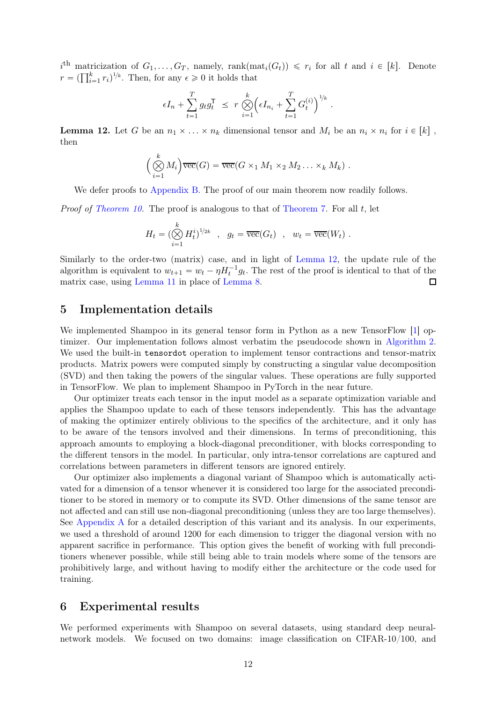$i^{\text{th}}$  matricization of  $G_1, \ldots, G_T$ , namely, rank $(\text{mat}_i(G_t)) \leq r_i$  for all  $t$  and  $i \in [k]$ . Denote  $r = \left(\prod_{i=1}^{k} r_i\right)^{1/k}$ . Then, for any  $\epsilon \geq 0$  it holds that

$$
\epsilon I_n + \sum_{t=1}^T g_t g_t^{\mathsf{T}} \ \leq \ r \bigotimes_{i=1}^k \Bigl( \epsilon I_{n_i} + \sum_{t=1}^T G_t^{(i)} \Bigr)^{1/k} \ .
$$

<span id="page-11-1"></span>**Lemma 12.** Let G be an  $n_1 \times \ldots \times n_k$  dimensional tensor and  $M_i$  be an  $n_i \times n_i$  for  $i \in [k]$ , then

$$
\left(\bigotimes_{i=1}^k M_i\right) \overline{\text{vec}}(G) = \overline{\text{vec}}(G \times_1 M_1 \times_2 M_2 \dots \times_k M_k) .
$$

We defer proofs to [Appendix B.](#page-16-0) The proof of our main theorem now readily follows.

*Proof of [Theorem 10.](#page-10-1)* The proof is analogous to that of [Theorem 7.](#page-5-2) For all t, let

$$
H_t = \left(\bigotimes_{i=1}^k H_t^i\right)^{1/2k} \quad , \quad g_t = \overline{\text{vec}}(G_t) \quad , \quad w_t = \overline{\text{vec}}(W_t) \ .
$$

Similarly to the order-two (matrix) case, and in light of [Lemma 12,](#page-11-1) the update rule of the algorithm is equivalent to  $w_{t+1} = w_t - \eta H_t^{-1} g_t$ . The rest of the proof is identical to that of the matrix case, using [Lemma 11](#page-10-2) in place of [Lemma 8.](#page-6-0)  $\Box$ 

### <span id="page-11-0"></span>5 Implementation details

We implemented Shampoo in its general tensor form in Python as a new TensorFlow [\[1\]](#page-14-8) optimizer. Our implementation follows almost verbatim the pseudocode shown in [Algorithm 2.](#page-10-0) We used the built-in tensordot operation to implement tensor contractions and tensor-matrix products. Matrix powers were computed simply by constructing a singular value decomposition (SVD) and then taking the powers of the singular values. These operations are fully supported in TensorFlow. We plan to implement Shampoo in PyTorch in the near future.

Our optimizer treats each tensor in the input model as a separate optimization variable and applies the Shampoo update to each of these tensors independently. This has the advantage of making the optimizer entirely oblivious to the specifics of the architecture, and it only has to be aware of the tensors involved and their dimensions. In terms of preconditioning, this approach amounts to employing a block-diagonal preconditioner, with blocks corresponding to the different tensors in the model. In particular, only intra-tensor correlations are captured and correlations between parameters in different tensors are ignored entirely.

Our optimizer also implements a diagonal variant of Shampoo which is automatically activated for a dimension of a tensor whenever it is considered too large for the associated preconditioner to be stored in memory or to compute its SVD. Other dimensions of the same tensor are not affected and can still use non-diagonal preconditioning (unless they are too large themselves). See [Appendix A](#page-15-7) for a detailed description of this variant and its analysis. In our experiments, we used a threshold of around 1200 for each dimension to trigger the diagonal version with no apparent sacrifice in performance. This option gives the benefit of working with full preconditioners whenever possible, while still being able to train models where some of the tensors are prohibitively large, and without having to modify either the architecture or the code used for training.

# 6 Experimental results

We performed experiments with Shampoo on several datasets, using standard deep neuralnetwork models. We focused on two domains: image classification on CIFAR-10/100, and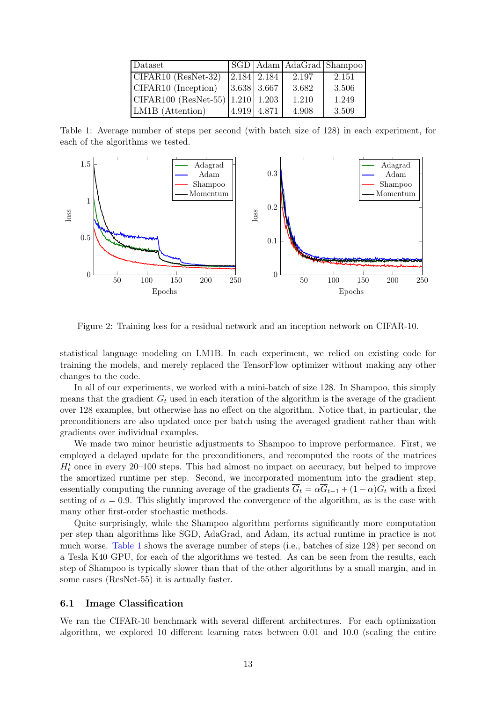| Dataset                                      |             |               |       | SGD   Adam   AdaGrad   Shampoo |
|----------------------------------------------|-------------|---------------|-------|--------------------------------|
| $\overline{\text{CIFAR10}}$ (ResNet-32)      |             | 2.184 2.184   | 2.197 | 2.151                          |
| CIFAR10 (Inception)                          |             | $3.638$ 3.667 | 3.682 | 3.506                          |
| $\vert$ CIFAR100 (ResNet-55)   1.210   1.203 |             |               | 1.210 | 1.249                          |
| LM1B (Attention)                             | 4.919 4.871 |               | 4.908 | 3.509                          |

<span id="page-12-0"></span>Table 1: Average number of steps per second (with batch size of 128) in each experiment, for each of the algorithms we tested.



<span id="page-12-1"></span>Figure 2: Training loss for a residual network and an inception network on CIFAR-10.

statistical language modeling on LM1B. In each experiment, we relied on existing code for training the models, and merely replaced the TensorFlow optimizer without making any other changes to the code.

In all of our experiments, we worked with a mini-batch of size 128. In Shampoo, this simply means that the gradient  $G_t$  used in each iteration of the algorithm is the average of the gradient over 128 examples, but otherwise has no effect on the algorithm. Notice that, in particular, the preconditioners are also updated once per batch using the averaged gradient rather than with gradients over individual examples.

We made two minor heuristic adjustments to Shampoo to improve performance. First, we employed a delayed update for the preconditioners, and recomputed the roots of the matrices  $H_t^i$  once in every 20–100 steps. This had almost no impact on accuracy, but helped to improve the amortized runtime per step. Second, we incorporated momentum into the gradient step, essentially computing the running average of the gradients  $\overline{G}_t = \alpha \overline{G}_{t-1} + (1 - \alpha)G_t$  with a fixed setting of  $\alpha = 0.9$ . This slightly improved the convergence of the algorithm, as is the case with many other first-order stochastic methods.

Quite surprisingly, while the Shampoo algorithm performs significantly more computation per step than algorithms like SGD, AdaGrad, and Adam, its actual runtime in practice is not much worse. [Table 1](#page-12-0) shows the average number of steps (i.e., batches of size 128) per second on a Tesla K40 GPU, for each of the algorithms we tested. As can be seen from the results, each step of Shampoo is typically slower than that of the other algorithms by a small margin, and in some cases (ResNet-55) it is actually faster.

### 6.1 Image Classification

We ran the CIFAR-10 benchmark with several different architectures. For each optimization algorithm, we explored 10 different learning rates between 0.01 and 10.0 (scaling the entire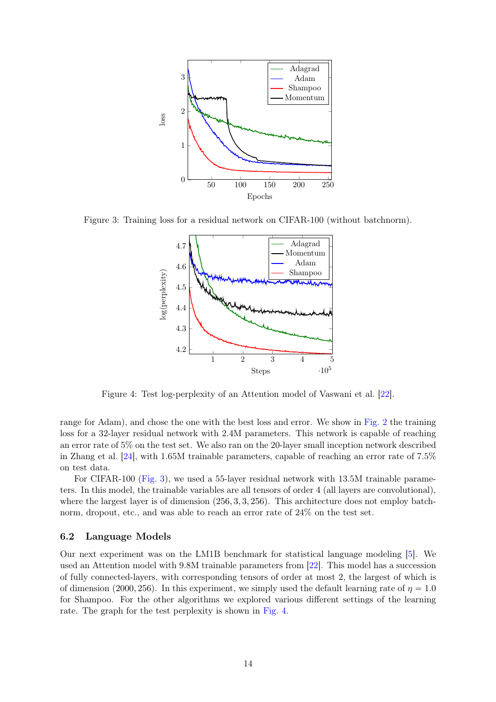

Figure 3: Training loss for a residual network on CIFAR-100 (without batchnorm).

<span id="page-13-0"></span>

<span id="page-13-1"></span>Figure 4: Test log-perplexity of an Attention model of Vaswani et al. [\[22](#page-15-8)].

range for Adam), and chose the one with the best loss and error. We show in [Fig. 2](#page-12-1) the training loss for a 32-layer residual network with 2.4M parameters. This network is capable of reaching an error rate of 5% on the test set. We also ran on the 20-layer small inception network described in Zhang et al. [\[24\]](#page-15-9), with 1.65M trainable parameters, capable of reaching an error rate of 7.5% on test data.

For CIFAR-100 [\(Fig. 3\)](#page-13-0), we used a 55-layer residual network with 13.5M trainable parameters. In this model, the trainable variables are all tensors of order 4 (all layers are convolutional), where the largest layer is of dimension  $(256, 3, 3, 256)$ . This architecture does not employ batchnorm, dropout, etc., and was able to reach an error rate of 24% on the test set.

### 6.2 Language Models

Our next experiment was on the LM1B benchmark for statistical language modeling [\[5](#page-14-13)]. We used an Attention model with 9.8M trainable parameters from [\[22\]](#page-15-8). This model has a succession of fully connected-layers, with corresponding tensors of order at most 2, the largest of which is of dimension (2000, 256). In this experiment, we simply used the default learning rate of  $\eta = 1.0$ for Shampoo. For the other algorithms we explored various different settings of the learning rate. The graph for the test perplexity is shown in [Fig. 4.](#page-13-1)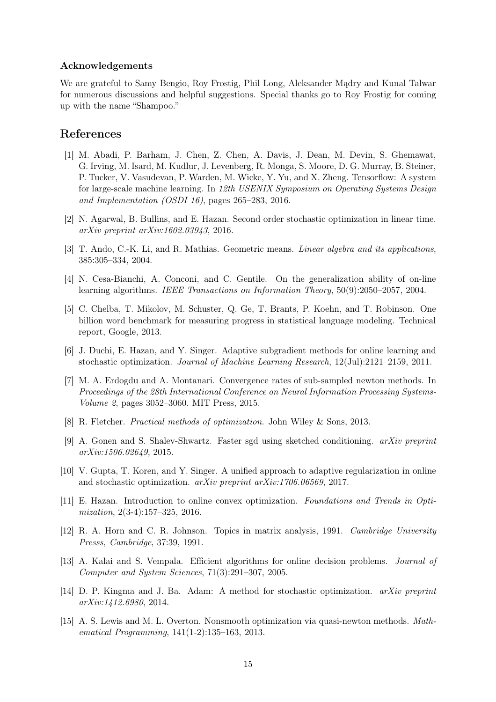### Acknowledgements

We are grateful to Samy Bengio, Roy Frostig, Phil Long, Aleksander Mądry and Kunal Talwar for numerous discussions and helpful suggestions. Special thanks go to Roy Frostig for coming up with the name "Shampoo."

### References

- <span id="page-14-8"></span>[1] M. Abadi, P. Barham, J. Chen, Z. Chen, A. Davis, J. Dean, M. Devin, S. Ghemawat, G. Irving, M. Isard, M. Kudlur, J. Levenberg, R. Monga, S. Moore, D. G. Murray, B. Steiner, P. Tucker, V. Vasudevan, P. Warden, M. Wicke, Y. Yu, and X. Zheng. Tensorflow: A system for large-scale machine learning. In *12th USENIX Symposium on Operating Systems Design and Implementation (OSDI 16)*, pages 265–283, 2016.
- <span id="page-14-6"></span>[2] N. Agarwal, B. Bullins, and E. Hazan. Second order stochastic optimization in linear time. *arXiv preprint arXiv:1602.03943*, 2016.
- <span id="page-14-12"></span>[3] T. Ando, C.-K. Li, and R. Mathias. Geometric means. *Linear algebra and its applications*, 385:305–334, 2004.
- <span id="page-14-9"></span>[4] N. Cesa-Bianchi, A. Conconi, and C. Gentile. On the generalization ability of on-line learning algorithms. *IEEE Transactions on Information Theory*, 50(9):2050–2057, 2004.
- <span id="page-14-13"></span>[5] C. Chelba, T. Mikolov, M. Schuster, Q. Ge, T. Brants, P. Koehn, and T. Robinson. One billion word benchmark for measuring progress in statistical language modeling. Technical report, Google, 2013.
- <span id="page-14-2"></span>[6] J. Duchi, E. Hazan, and Y. Singer. Adaptive subgradient methods for online learning and stochastic optimization. *Journal of Machine Learning Research*, 12(Jul):2121–2159, 2011.
- <span id="page-14-5"></span>[7] M. A. Erdogdu and A. Montanari. Convergence rates of sub-sampled newton methods. In *Proceedings of the 28th International Conference on Neural Information Processing Systems-Volume 2*, pages 3052–3060. MIT Press, 2015.
- <span id="page-14-0"></span>[8] R. Fletcher. *Practical methods of optimization*. John Wiley & Sons, 2013.
- <span id="page-14-4"></span>[9] A. Gonen and S. Shalev-Shwartz. Faster sgd using sketched conditioning. *arXiv preprint arXiv:1506.02649*, 2015.
- <span id="page-14-10"></span>[10] V. Gupta, T. Koren, and Y. Singer. A unified approach to adaptive regularization in online and stochastic optimization. *arXiv preprint arXiv:1706.06569*, 2017.
- <span id="page-14-7"></span>[11] E. Hazan. Introduction to online convex optimization. *Foundations and Trends in Optimization*, 2(3-4):157–325, 2016.
- <span id="page-14-11"></span>[12] R. A. Horn and C. R. Johnson. Topics in matrix analysis, 1991. *Cambridge University Presss, Cambridge*, 37:39, 1991.
- <span id="page-14-14"></span>[13] A. Kalai and S. Vempala. Efficient algorithms for online decision problems. *Journal of Computer and System Sciences*, 71(3):291–307, 2005.
- <span id="page-14-3"></span>[14] D. P. Kingma and J. Ba. Adam: A method for stochastic optimization. *arXiv preprint arXiv:1412.6980*, 2014.
- <span id="page-14-1"></span>[15] A. S. Lewis and M. L. Overton. Nonsmooth optimization via quasi-newton methods. *Mathematical Programming*, 141(1-2):135–163, 2013.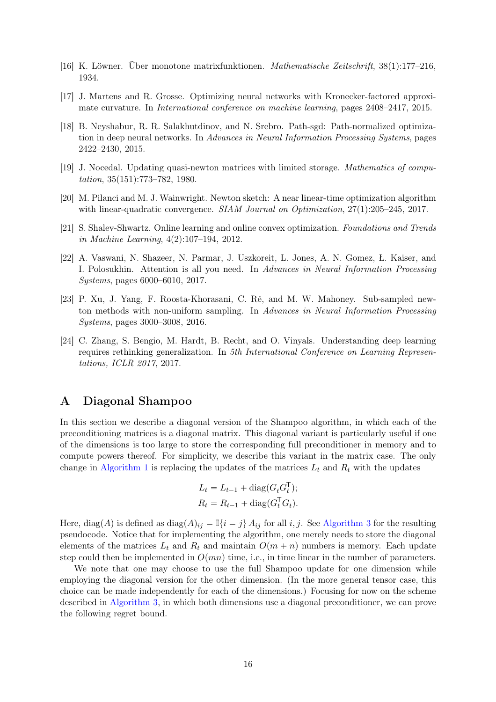- <span id="page-15-6"></span>[16] K. Löwner. Über monotone matrixfunktionen. *Mathematische Zeitschrift*, 38(1):177–216, 1934.
- <span id="page-15-4"></span>[17] J. Martens and R. Grosse. Optimizing neural networks with Kronecker-factored approximate curvature. In *International conference on machine learning*, pages 2408–2417, 2015.
- <span id="page-15-5"></span>[18] B. Neyshabur, R. R. Salakhutdinov, and N. Srebro. Path-sgd: Path-normalized optimization in deep neural networks. In *Advances in Neural Information Processing Systems*, pages 2422–2430, 2015.
- <span id="page-15-0"></span>[19] J. Nocedal. Updating quasi-newton matrices with limited storage. *Mathematics of computation*, 35(151):773–782, 1980.
- <span id="page-15-1"></span>[20] M. Pilanci and M. J. Wainwright. Newton sketch: A near linear-time optimization algorithm with linear-quadratic convergence. *SIAM Journal on Optimization*, 27(1):205–245, 2017.
- <span id="page-15-3"></span>[21] S. Shalev-Shwartz. Online learning and online convex optimization. *Foundations and Trends in Machine Learning*, 4(2):107–194, 2012.
- <span id="page-15-8"></span>[22] A. Vaswani, N. Shazeer, N. Parmar, J. Uszkoreit, L. Jones, A. N. Gomez, Ł. Kaiser, and I. Polosukhin. Attention is all you need. In *Advances in Neural Information Processing Systems*, pages 6000–6010, 2017.
- <span id="page-15-2"></span>[23] P. Xu, J. Yang, F. Roosta-Khorasani, C. Ré, and M. W. Mahoney. Sub-sampled newton methods with non-uniform sampling. In *Advances in Neural Information Processing Systems*, pages 3000–3008, 2016.
- <span id="page-15-9"></span>[24] C. Zhang, S. Bengio, M. Hardt, B. Recht, and O. Vinyals. Understanding deep learning requires rethinking generalization. In *5th International Conference on Learning Representations, ICLR 2017*, 2017.

# <span id="page-15-7"></span>A Diagonal Shampoo

In this section we describe a diagonal version of the Shampoo algorithm, in which each of the preconditioning matrices is a diagonal matrix. This diagonal variant is particularly useful if one of the dimensions is too large to store the corresponding full preconditioner in memory and to compute powers thereof. For simplicity, we describe this variant in the matrix case. The only change in [Algorithm 1](#page-2-0) is replacing the updates of the matrices  $L_t$  and  $R_t$  with the updates

$$
L_t = L_{t-1} + \text{diag}(G_t G_t^{\mathsf{T}});
$$
  

$$
R_t = R_{t-1} + \text{diag}(G_t^{\mathsf{T}} G_t).
$$

Here, diag(A) is defined as diag(A)<sub>ij</sub> =  $\mathbb{I}\{i = j\}$  A<sub>ij</sub> for all i, j. See [Algorithm 3](#page-16-1) for the resulting pseudocode. Notice that for implementing the algorithm, one merely needs to store the diagonal elements of the matrices  $L_t$  and  $R_t$  and maintain  $O(m + n)$  numbers is memory. Each update step could then be implemented in  $O(mn)$  time, i.e., in time linear in the number of parameters.

We note that one may choose to use the full Shampoo update for one dimension while employing the diagonal version for the other dimension. (In the more general tensor case, this choice can be made independently for each of the dimensions.) Focusing for now on the scheme described in [Algorithm 3,](#page-16-1) in which both dimensions use a diagonal preconditioner, we can prove the following regret bound.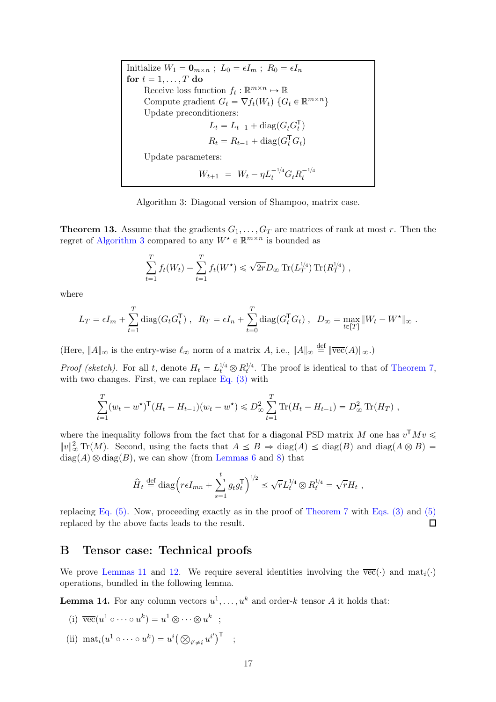Initialize  $W_1 = \mathbf{0}_{m \times n}$ ;  $L_0 = \epsilon I_m$ ;  $R_0 = \epsilon I_n$ for  $t = 1, \ldots, T$  do Receive loss function  $f_t : \mathbb{R}^{m \times n} \mapsto \mathbb{R}$ Compute gradient  $G_t = \nabla f_t(W_t) \{ G_t \in \mathbb{R}^{m \times n} \}$ Update preconditioners:  $L_t = L_{t-1} + \text{diag}(G_t G_t^{\mathsf{T}})$  $\frac{1}{t}$  $R_t = R_{t-1} + \text{diag}(G_t^{\mathsf{T}} G_t)$ Update parameters:  $W_{t+1} = W_t - \eta L_t^{-1/4} G_t R_t^{-1/4}$ t

Algorithm 3: Diagonal version of Shampoo, matrix case.

<span id="page-16-1"></span>**Theorem 13.** Assume that the gradients  $G_1, \ldots, G_T$  are matrices of rank at most r. Then the regret of [Algorithm 3](#page-16-1) compared to any  $W^\star \in \mathbb{R}^{m \times n}$  is bounded as

$$
\sum_{t=1}^{T} f_t(W_t) - \sum_{t=1}^{T} f_t(W^{\star}) \leq \sqrt{2r} D_{\infty} \operatorname{Tr}(L_T^{1/4}) \operatorname{Tr}(R_T^{1/4}),
$$

where

$$
L_T = \epsilon I_m + \sum_{t=1}^T \text{diag}(G_t G_t^{\mathsf{T}}), \quad R_T = \epsilon I_n + \sum_{t=0}^T \text{diag}(G_t^{\mathsf{T}} G_t), \quad D_{\infty} = \max_{t \in [T]} \|W_t - W^{\star}\|_{\infty}.
$$

(Here,  $||A||_{\infty}$  is the entry-wise  $\ell_{\infty}$  norm of a matrix A, i.e.,  $||A||_{\infty} \stackrel{\text{def}}{=} ||\overline{\text{vec}}(A)||_{\infty}$ .)

*Proof (sketch)*. For all t, denote  $H_t = L_t^{1/4} \otimes R_t^{1/4}$ . The proof is identical to that of [Theorem 7,](#page-5-2) with two changes. First, we can replace Eq.  $(3)$  with

$$
\sum_{t=1}^T (w_t - w^{\star})^{\mathsf{T}} (H_t - H_{t-1})(w_t - w^{\star}) \leq D_{\infty}^2 \sum_{t=1}^T \text{Tr}(H_t - H_{t-1}) = D_{\infty}^2 \text{Tr}(H_T) ,
$$

where the inequality follows from the fact that for a diagonal PSD matrix M one has  $v^{\mathsf{T}} M v \leq$  $||v||_{\infty}^2 \text{Tr}(M)$ . Second, using the facts that  $A \leq B \Rightarrow \text{diag}(A) \leq \text{diag}(B)$  and  $\text{diag}(A \otimes B) =$  $diag(A) \otimes diag(B)$ , we can show (from [Lemmas 6](#page-5-5) and [8\)](#page-6-0) that

$$
\widehat{H}_t \stackrel{\text{def}}{=} \text{diag}\Big(r\epsilon I_{mn} + \sum_{s=1}^t g_t g_t^{\mathsf{T}}\Big)^{1/2} \leq \sqrt{r} L_t^{1/4} \otimes R_t^{1/4} = \sqrt{r} H_t ,
$$

replacing Eq.  $(5)$ . Now, proceeding exactly as in the proof of [Theorem 7](#page-5-2) with Eqs.  $(3)$  and  $(5)$ replaced by the above facts leads to the result.  $\Box$ 

### <span id="page-16-0"></span>B Tensor case: Technical proofs

We prove [Lemmas 11](#page-10-2) and [12.](#page-11-1) We require several identities involving the  $\overline{vec}(\cdot)$  and  $\text{mat}_i(\cdot)$ operations, bundled in the following lemma.

**Lemma 14.** For any column vectors  $u^1, \ldots, u^k$  and order-k tensor A it holds that:

(i) 
$$
\overline{\text{vec}}(u^1 \circ \cdots \circ u^k) = u^1 \otimes \cdots \otimes u^k ;
$$

(ii)  $\text{mat}_i(u^1 \circ \cdots \circ u^k) = u^i \big( \bigotimes_{i' \neq i} u^{i'} \big)^{\mathsf{T}}$  ;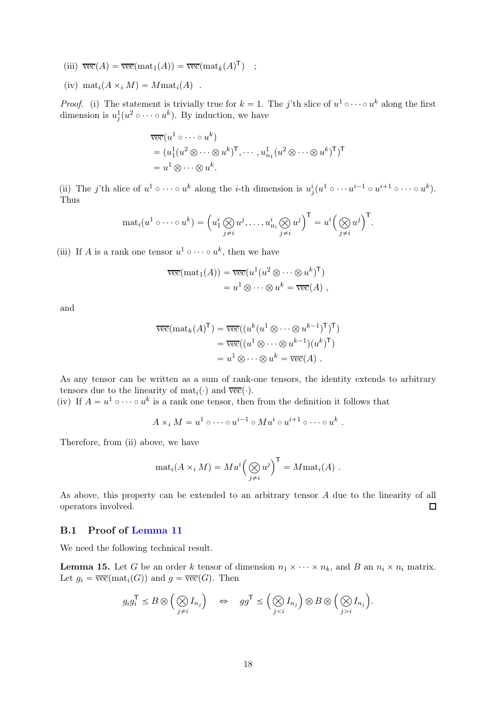- (iii)  $\overline{\text{vec}}(A) = \overline{\text{vec}}(\text{mat}_1(A)) = \overline{\text{vec}}(\text{mat}_k(A)^{\mathsf{T}})$  ;
- (iv)  $\text{mat}_i(A \times_i M) = M \text{mat}_i(A)$ .

*Proof.* (i) The statement is trivially true for  $k = 1$ . The j'th slice of  $u^1 \circ \cdots \circ u^k$  along the first dimension is  $u_i^1$  $\frac{1}{j}(u^2 \circ \cdots \circ u^k)$ . By induction, we have

$$
\overline{\text{vec}}(u^1 \circ \cdots \circ u^k)
$$
  
=  $(u_1^1(u^2 \otimes \cdots \otimes u^k)^{\mathsf{T}}, \cdots, u_{n_1}^1(u^2 \otimes \cdots \otimes u^k)^{\mathsf{T}})^{\mathsf{T}}$   
=  $u^1 \otimes \cdots \otimes u^k$ .

(ii) The j'th slice of  $u^1 \circ \cdots \circ u^k$  along the *i*-th dimension is  $u^i_j(u^1 \circ \cdots u^{i-1} \circ u^{i+1} \circ \cdots \circ u^k)$ . Thus

$$
\mathrm{mat}_i(u^1 \circ \cdots \circ u^k) = \left(u^i_1 \bigotimes_{j \neq i} u^j, \ldots, u^i_{n_i} \bigotimes_{j \neq i} u^j\right)^\mathsf{T} = u^i \left(\bigotimes_{j \neq i} u^j\right)^\mathsf{T}.
$$

(iii) If A is a rank one tensor  $u^1 \circ \cdots \circ u^k$ , then we have

$$
\overline{\text{vec}}(\text{mat}_1(A)) = \overline{\text{vec}}(u^1(u^2 \otimes \dots \otimes u^k)^{\mathsf{T}})
$$
  
=  $u^1 \otimes \dots \otimes u^k = \overline{\text{vec}}(A)$ ,

and

$$
\overline{\text{vec}}(\text{mat}_k(A)^{\mathsf{T}}) = \overline{\text{vec}}((u^k(u^1 \otimes \cdots \otimes u^{k-1})^{\mathsf{T}})^{\mathsf{T}})
$$

$$
= \overline{\text{vec}}((u^1 \otimes \cdots \otimes u^{k-1})(u^k)^{\mathsf{T}})
$$

$$
= u^1 \otimes \cdots \otimes u^k = \overline{\text{vec}}(A) .
$$

As any tensor can be written as a sum of rank-one tensors, the identity extends to arbitrary tensors due to the linearity of  $\text{mat}_i(\cdot)$  and  $\overline{\text{vec}}(\cdot)$ .

(iv) If  $A = u^1 \circ \cdots \circ u^k$  is a rank one tensor, then from the definition it follows that

$$
A \times_i M = u^1 \circ \cdots \circ u^{i-1} \circ M u^i \circ u^{i+1} \circ \cdots \circ u^k.
$$

Therefore, from (ii) above, we have

$$
\mathrm{mat}_i(A \times_i M) = M u^i \left( \bigotimes_{j \neq i} u^j \right)^{\mathsf{T}} = M \mathrm{mat}_i(A) .
$$

As above, this property can be extended to an arbitrary tensor A due to the linearity of all operators involved.  $\Box$ 

### B.1 Proof of [Lemma 11](#page-10-2)

<span id="page-17-0"></span>We need the following technical result.

**Lemma 15.** Let G be an order k tensor of dimension  $n_1 \times \cdots \times n_k$ , and B an  $n_i \times n_i$  matrix. Let  $g_i = \overline{\text{vec}}(\text{mat}_i(G))$  and  $g = \overline{\text{vec}}(G)$ . Then

$$
g_i g_i^{\mathsf{T}} \leq B \otimes \left(\bigotimes_{j \neq i} I_{n_j}\right) \quad \Leftrightarrow \quad gg^{\mathsf{T}} \leq \left(\bigotimes_{j < i} I_{n_j}\right) \otimes B \otimes \left(\bigotimes_{j > i} I_{n_j}\right).
$$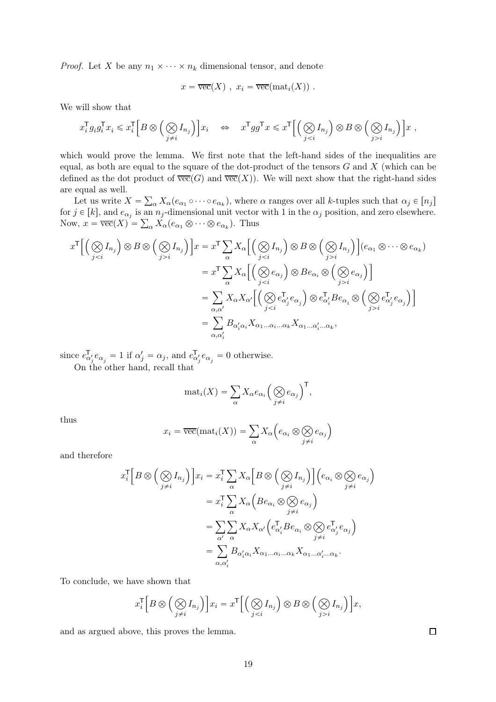*Proof.* Let X be any  $n_1 \times \cdots \times n_k$  dimensional tensor, and denote

$$
x = \overline{\text{vec}}(X) , x_i = \overline{\text{vec}}(\text{mat}_i(X)) .
$$

We will show that

$$
x_i^{\mathsf{T}} g_i g_i^{\mathsf{T}} x_i \leqslant x_i^{\mathsf{T}} \Big[ B \otimes \Big( \bigotimes_{j \neq i} I_{n_j} \Big) \Big] x_i \quad \Leftrightarrow \quad x^{\mathsf{T}} g g^{\mathsf{T}} x \leqslant x^{\mathsf{T}} \Big[ \Big( \bigotimes_{j < i} I_{n_j} \Big) \otimes B \otimes \Big( \bigotimes_{j > i} I_{n_j} \Big) \Big] x \ ,
$$

which would prove the lemma. We first note that the left-hand sides of the inequalities are equal, as both are equal to the square of the dot-product of the tensors  $G$  and  $X$  (which can be defined as the dot product of  $\overline{vec}(G)$  and  $\overline{vec}(X)$ ). We will next show that the right-hand sides are equal as well.

Let us write  $X = \sum_{\alpha} X_{\alpha}(e_{\alpha_1} \circ \cdots \circ e_{\alpha_k}),$  where  $\alpha$  ranges over all k-tuples such that  $\alpha_j \in [n_j]$ for  $j \in [k]$ , and  $e_{\alpha_j}$  is an  $n_j$ -dimensional unit vector with 1 in the  $\alpha_j$  position, and zero elsewhere. Now,  $x = \overline{\text{vec}}(X) = \sum_{\alpha} X_{\alpha}(e_{\alpha_1} \otimes \cdots \otimes e_{\alpha_k}).$  Thus

$$
x^{\mathsf{T}} \Big[ \Big( \bigotimes_{j < i} I_{n_j} \Big) \otimes B \otimes \Big( \bigotimes_{j > i} I_{n_j} \Big) \Big] x = x^{\mathsf{T}} \sum_{\alpha} X_{\alpha} \Big[ \Big( \bigotimes_{j < i} I_{n_j} \Big) \otimes B \otimes \Big( \bigotimes_{j > i} I_{n_j} \Big) \Big] (e_{\alpha_1} \otimes \cdots \otimes e_{\alpha_k})
$$
\n
$$
= x^{\mathsf{T}} \sum_{\alpha} X_{\alpha} \Big[ \Big( \bigotimes_{j < i} e_{\alpha_j} \Big) \otimes B e_{\alpha_i} \otimes \Big( \bigotimes_{j > i} e_{\alpha_j} \Big) \Big]
$$
\n
$$
= \sum_{\alpha, \alpha'} X_{\alpha} X_{\alpha'} \Big[ \Big( \bigotimes_{j < i} e_{\alpha'_j}^{\mathsf{T}} e_{\alpha_j} \Big) \otimes e_{\alpha'_i}^{\mathsf{T}} B e_{\alpha_i} \otimes \Big( \bigotimes_{j > i} e_{\alpha'_j}^{\mathsf{T}} e_{\alpha_j} \Big) \Big]
$$
\n
$$
= \sum_{\alpha, \alpha'} B_{\alpha'_i \alpha_i} X_{\alpha_1 \dots \alpha_i \dots \alpha_k} X_{\alpha_1 \dots \alpha'_i \dots \alpha_k},
$$

since  $e_{\alpha}^{\mathsf{T}}$  $_{\alpha'_{j}}^{\mathsf{T}}e_{\alpha_{j}}=1$  if  $\alpha'_{j}=\alpha_{j}$ , and  $e_{\alpha}^{\mathsf{T}}$  $_{\alpha'_{j}}e_{\alpha_{j}}=0$  otherwise.

On the other hand, recall that

$$
\mathrm{mat}_i(X) = \sum_{\alpha} X_{\alpha} e_{\alpha_i} \left( \bigotimes_{j \neq i} e_{\alpha_j} \right)^{\mathsf{T}},
$$

thus

$$
x_i = \overline{\text{vec}}(\text{mat}_i(X)) = \sum_{\alpha} X_{\alpha} \left( e_{\alpha_i} \otimes \bigotimes_{j \neq i} e_{\alpha_j} \right)
$$

and therefore

$$
x_i^{\mathsf{T}} \Big[ B \otimes \Big( \bigotimes_{j \neq i} I_{n_j} \Big) \Big] x_i = x_i^{\mathsf{T}} \sum_{\alpha} X_{\alpha} \Big[ B \otimes \Big( \bigotimes_{j \neq i} I_{n_j} \Big) \Big] \Big( e_{\alpha_i} \otimes \bigotimes_{j \neq i} e_{\alpha_j} \Big)
$$
  

$$
= x_i^{\mathsf{T}} \sum_{\alpha} X_{\alpha} \Big( B e_{\alpha_i} \otimes \bigotimes_{j \neq i} e_{\alpha_j} \Big)
$$
  

$$
= \sum_{\alpha'} \sum_{\alpha} X_{\alpha'} \Big( e_{\alpha'_i}^{\mathsf{T}} B e_{\alpha_i} \otimes \bigotimes_{j \neq i} e_{\alpha'_j} e_{\alpha_j} \Big)
$$
  

$$
= \sum_{\alpha, \alpha'_i} B_{\alpha'_i \alpha_i} X_{\alpha_1 \dots \alpha_i \dots \alpha_k} X_{\alpha_1 \dots \alpha'_i \dots \alpha_k}.
$$

To conclude, we have shown that

$$
x_i^{\mathsf{T}}\Big[B\otimes\Big(\bigotimes_{j\neq i}I_{n_j}\Big)\Big]x_i=x^{\mathsf{T}}\Big[\Big(\bigotimes_{ji}I_{n_j}\Big)\Big]x,
$$

and as argued above, this proves the lemma.

 $\Box$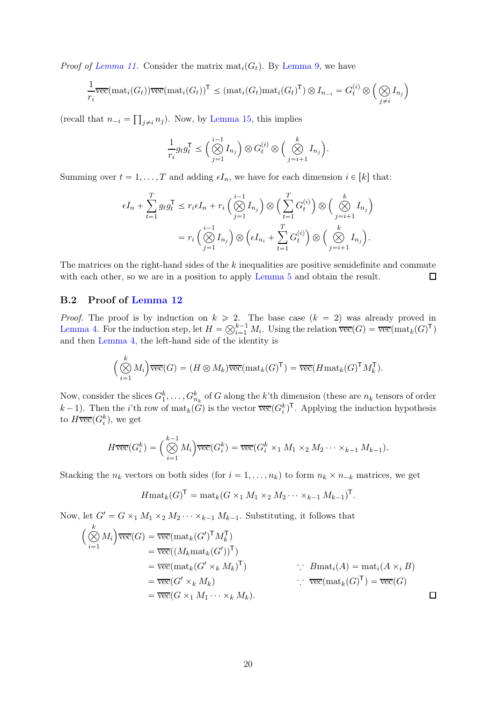*Proof of [Lemma 11.](#page-10-2)* Consider the matrix  $\text{mat}_i(G_t)$ . By [Lemma 9,](#page-6-1) we have

$$
\frac{1}{r_i}\overline{\text{vec}}(\text{mat}_i(G_t))\overline{\text{vec}}(\text{mat}_i(G_t))^{\mathsf{T}} \leq (\text{mat}_i(G_t)\text{mat}_i(G_t)^{\mathsf{T}}) \otimes I_{n_{-i}} = G_t^{(i)} \otimes \left(\bigotimes_{j \neq i} I_{n_j}\right)
$$

(recall that  $n_{-i} = \prod_{j \neq i} n_j$ ). Now, by [Lemma 15,](#page-17-0) this implies

$$
\frac{1}{r_i} g_t g_t^{\mathsf{T}} \le \left( \bigotimes_{j=1}^{i-1} I_{n_j} \right) \otimes G_t^{(i)} \otimes \left( \bigotimes_{j=i+1}^k I_{n_j} \right).
$$

Summing over  $t = 1, ..., T$  and adding  $\epsilon I_n$ , we have for each dimension  $i \in [k]$  that:

$$
\epsilon I_n + \sum_{t=1}^T g_t g_t^{\mathsf{T}} \leq r_i \epsilon I_n + r_i \left( \bigotimes_{j=1}^{i-1} I_{n_j} \right) \otimes \left( \sum_{t=1}^T G_t^{(i)} \right) \otimes \left( \bigotimes_{j=i+1}^k I_{n_j} \right)
$$

$$
= r_i \left( \bigotimes_{j=1}^{i-1} I_{n_j} \right) \otimes \left( \epsilon I_{n_i} + \sum_{t=1}^T G_t^{(i)} \right) \otimes \left( \bigotimes_{j=i+1}^k I_{n_j} \right).
$$

The matrices on the right-hand sides of the  $k$  inequalities are positive semidefinite and commute with each other, so we are in a position to apply [Lemma 5](#page-5-0) and obtain the result.  $\Box$ 

### B.2 Proof of [Lemma 12](#page-11-1)

*Proof.* The proof is by induction on  $k \ge 2$ . The base case  $(k = 2)$  was already proved in [Lemma 4.](#page-5-3) For the induction step, let  $H = \bigotimes_{i=1}^{k-1} M_i$ . Using the relation  $\overline{\text{vec}}(G) = \overline{\text{vec}}(\text{mat}_k(G)^{\mathsf{T}})$ and then [Lemma 4,](#page-5-3) the left-hand side of the identity is

$$
\Big(\bigotimes_{i=1}^k M_i\Big)\overline{\mathrm{vec}}(G) = (H \otimes M_k)\overline{\mathrm{vec}}(\mathrm{mat}_k(G)^{\mathsf{T}}) = \overline{\mathrm{vec}}(H\mathrm{mat}_k(G)^{\mathsf{T}}M_k^{\mathsf{T}}).
$$

Now, consider the slices  $G_1^k, \ldots, G_{n_k}^k$  of G along the k'th dimension (these are  $n_k$  tensors of order  $(k-1)$ . Then the *i*'th row of  $\text{mat}_k(\hat{G})$  is the vector  $\overline{\text{vec}}(G_i^k)^\mathsf{T}$ . Applying the induction hypothesis to  $H \overline{\text{vec}}(G_i^k)$ , we get

$$
H\overline{\mathrm{vec}}(G_i^k) = \left(\bigotimes_{i=1}^{k-1} M_i\right) \overline{\mathrm{vec}}(G_i^k) = \overline{\mathrm{vec}}(G_i^k \times_1 M_1 \times_2 M_2 \cdots \times_{k-1} M_{k-1}).
$$

Stacking the  $n_k$  vectors on both sides (for  $i = 1, \ldots, n_k$ ) to form  $n_k \times n_{-k}$  matrices, we get

$$
Hmat_k(G)^{\mathsf{T}} = mat_k(G \times_1 M_1 \times_2 M_2 \cdots \times_{k-1} M_{k-1})^{\mathsf{T}}.
$$

Now, let  $G' = G \times_1 M_1 \times_2 M_2 \cdots \times_{k-1} M_{k-1}$ . Substituting, it follows that

$$
\begin{aligned}\n\left(\bigotimes_{i=1}^{k} M_{i}\right) \overline{\text{vec}}(G) &= \overline{\text{vec}}(\text{mat}_{k}(G')^{\mathsf{T}} M_{k}^{\mathsf{T}}) \\
&= \overline{\text{vec}}((M_{k} \text{mat}_{k}(G'))^{\mathsf{T}}) \\
&= \overline{\text{vec}}(\text{mat}_{k}(G' \times_{k} M_{k})^{\mathsf{T}}) \\
&= \overline{\text{vec}}(G' \times_{k} M_{k}) \\
&= \overline{\text{vec}}(G \times_{1} M_{1} \cdots \times_{k} M_{k}).\n\end{aligned}\n\quad\n\begin{aligned}\n\therefore \quad & B_{\text{mat}_{i}}(A) = \text{mat}_{i}(A \times_{i} B) \\
\therefore \quad & B_{\text{mat}_{i}}(A) = \text{mat}_{i}(A \times_{i} B) \\
&= \overline{\text{vec}}(G) \\
\Box\n\end{aligned}
$$